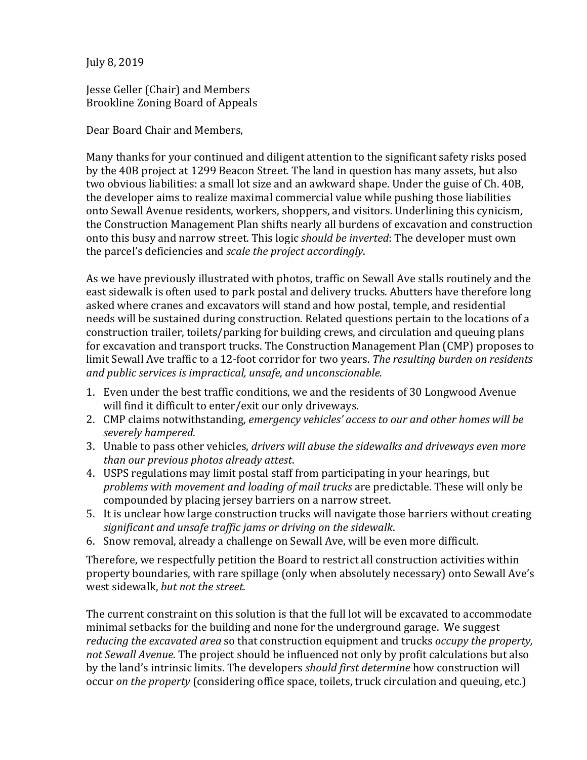July 8, 2019

Jesse Geller (Chair) and Members Brookline Zoning Board of Appeals

Dear Board Chair and Members,

Many thanks for your continued and diligent attention to the significant safety risks posed by the 40B project at 1299 Beacon Street. The land in question has many assets, but also two obvious liabilities: a small lot size and an awkward shape. Under the guise of Ch. 40B, the developer aims to realize maximal commercial value while pushing those liabilities onto Sewall Avenue residents, workers, shoppers, and visitors. Underlining this cynicism, the Construction Management Plan shifts nearly all burdens of excavation and construction onto this busy and narrow street. This logic *should be inverted*: The developer must own the parcel's deficiencies and *scale the project accordingly*.

As we have previously illustrated with photos, traffic on Sewall Ave stalls routinely and the east sidewalk is often used to park postal and delivery trucks. Abutters have therefore long asked where cranes and excavators will stand and how postal, temple, and residential needs will be sustained during construction. Related questions pertain to the locations of a construction trailer, toilets/parking for building crews, and circulation and queuing plans for excavation and transport trucks. The Construction Management Plan (CMP) proposes to limit Sewall Ave traffic to a 12-foot corridor for two years. The resulting burden on residents *and public services is impractical, unsafe, and unconscionable.*

- 1. Even under the best traffic conditions, we and the residents of 30 Longwood Avenue will find it difficult to enter/exit our only driveways.
- 2. CMP claims notwithstanding, *emergency vehicles' access to our and other homes will be severely hampered*.
- 3. Unable to pass other vehicles, *drivers will abuse the sidewalks and driveways even more than our previous photos already attest*.
- 4. USPS regulations may limit postal staff from participating in your hearings, but problems with movement and loading of mail trucks are predictable. These will only be compounded by placing jersey barriers on a narrow street.
- 5. It is unclear how large construction trucks will navigate those barriers without creating significant and unsafe traffic jams or driving on the sidewalk.
- 6. Snow removal, already a challenge on Sewall Ave, will be even more difficult.

Therefore, we respectfully petition the Board to restrict all construction activities within property boundaries, with rare spillage (only when absolutely necessary) onto Sewall Ave's west sidewalk, *but not the street*.

The current constraint on this solution is that the full lot will be excavated to accommodate minimal setbacks for the building and none for the underground garage. We suggest *reducing the excavated area* so that construction equipment and trucks *occupy the property*, not *Sewall Avenue*. The project should be influenced not only by profit calculations but also by the land's intrinsic limits. The developers *should first determine* how construction will occur *on the property* (considering office space, toilets, truck circulation and queuing, etc.)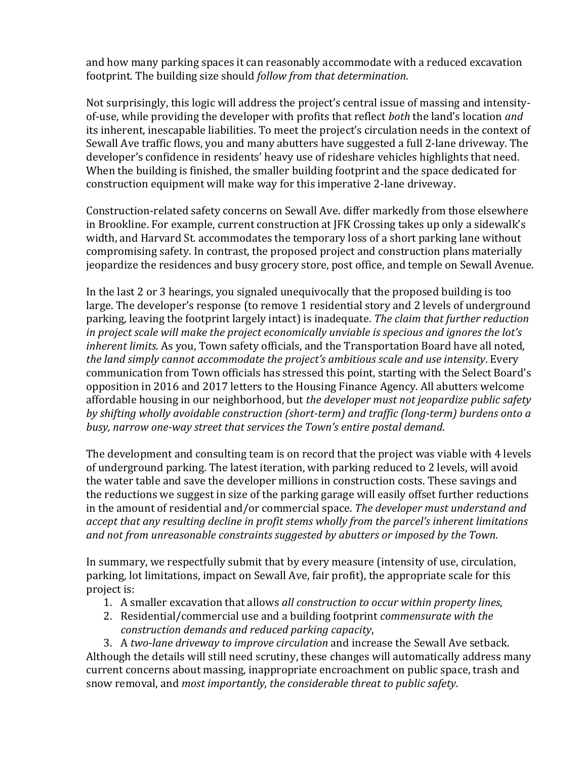and how many parking spaces it can reasonably accommodate with a reduced excavation footprint. The building size should *follow from that determination*.

Not surprisingly, this logic will address the project's central issue of massing and intensityof-use, while providing the developer with profits that reflect *both* the land's location *and* its inherent, inescapable liabilities. To meet the project's circulation needs in the context of Sewall Ave traffic flows, you and many abutters have suggested a full 2-lane driveway. The developer's confidence in residents' heavy use of rideshare vehicles highlights that need. When the building is finished, the smaller building footprint and the space dedicated for construction equipment will make way for this imperative 2-lane driveway.

Construction-related safety concerns on Sewall Ave. differ markedly from those elsewhere in Brookline. For example, current construction at JFK Crossing takes up only a sidewalk's width, and Harvard St. accommodates the temporary loss of a short parking lane without compromising safety. In contrast, the proposed project and construction plans materially jeopardize the residences and busy grocery store, post office, and temple on Sewall Avenue.

In the last 2 or 3 hearings, you signaled unequivocally that the proposed building is too large. The developer's response (to remove 1 residential story and 2 levels of underground parking, leaving the footprint largely intact) is inadequate. *The claim that further reduction in project scale will make the project economically unviable is specious and ignores the lot's inherent limits.* As you, Town safety officials, and the Transportation Board have all noted, the land simply cannot accommodate the project's ambitious scale and use intensity. Every communication from Town officials has stressed this point, starting with the Select Board's opposition in 2016 and 2017 letters to the Housing Finance Agency. All abutters welcome affordable housing in our neighborhood, but *the developer must not jeopardize public safety* by shifting wholly avoidable construction (short-term) and traffic (long-term) burdens onto a busy, narrow one-way street that services the Town's entire postal demand.

The development and consulting team is on record that the project was viable with 4 levels of underground parking. The latest iteration, with parking reduced to 2 levels, will avoid the water table and save the developer millions in construction costs. These savings and the reductions we suggest in size of the parking garage will easily offset further reductions in the amount of residential and/or commercial space. The *developer must understand and* accept *that any resulting decline in profit stems wholly from the parcel's inherent limitations* and not from unreasonable constraints suggested by abutters or imposed by the Town.

In summary, we respectfully submit that by every measure (intensity of use, circulation, parking, lot limitations, impact on Sewall Ave, fair profit), the appropriate scale for this project is:

- 1. A smaller excavation that allows *all construction to occur within property lines*,
- 2. Residential/commercial use and a building footprint *commensurate with the construction demands and reduced parking capacity*,

3. A *two-lane driveway to improve circulation* and increase the Sewall Ave setback. Although the details will still need scrutiny, these changes will automatically address many current concerns about massing, inappropriate encroachment on public space, trash and snow removal, and *most importantly, the considerable threat to public safety*.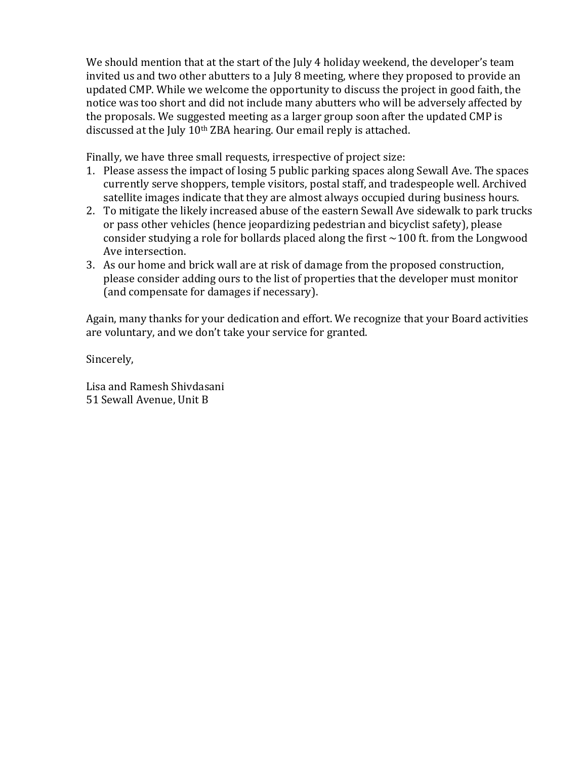We should mention that at the start of the July 4 holiday weekend, the developer's team invited us and two other abutters to a July 8 meeting, where they proposed to provide an updated CMP. While we welcome the opportunity to discuss the project in good faith, the notice was too short and did not include many abutters who will be adversely affected by the proposals. We suggested meeting as a larger group soon after the updated CMP is discussed at the July 10<sup>th</sup> ZBA hearing. Our email reply is attached.

Finally, we have three small requests, irrespective of project size:

- 1. Please assess the impact of losing 5 public parking spaces along Sewall Ave. The spaces currently serve shoppers, temple visitors, postal staff, and tradespeople well. Archived satellite images indicate that they are almost always occupied during business hours.
- 2. To mitigate the likely increased abuse of the eastern Sewall Ave sidewalk to park trucks or pass other vehicles (hence jeopardizing pedestrian and bicyclist safety), please consider studying a role for bollards placed along the first  $\sim$ 100 ft. from the Longwood Ave intersection.
- 3. As our home and brick wall are at risk of damage from the proposed construction, please consider adding ours to the list of properties that the developer must monitor (and compensate for damages if necessary).

Again, many thanks for your dedication and effort. We recognize that your Board activities are voluntary, and we don't take your service for granted.

Sincerely,

Lisa and Ramesh Shivdasani 51 Sewall Avenue, Unit B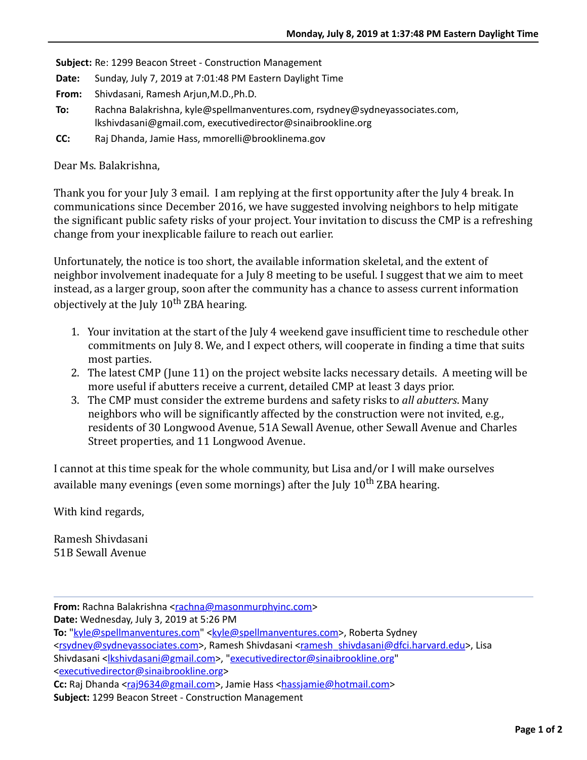**Subject:** Re: 1299 Beacon Street - Construction Management

- **Date:** Sunday, July 7, 2019 at 7:01:48 PM Eastern Daylight Time
- **From:** Shivdasani, Ramesh Arjun,M.D.,Ph.D.
- **To:** Rachna Balakrishna, kyle@spellmanventures.com, rsydney@sydneyassociates.com, lkshivdasani@gmail.com, executivedirector@sinaibrookline.org
- **CC:** Raj Dhanda, Jamie Hass, mmorelli@brooklinema.gov

Dear Ms. Balakrishna,

Thank you for your July 3 email. I am replying at the first opportunity after the July 4 break. In communications since December 2016, we have suggested involving neighbors to help mitigate the significant public safety risks of your project. Your invitation to discuss the CMP is a refreshing change from your inexplicable failure to reach out earlier.

Unfortunately, the notice is too short, the available information skeletal, and the extent of neighbor involvement inadequate for a July 8 meeting to be useful. I suggest that we aim to meet instead, as a larger group, soon after the community has a chance to assess current information objectively at the July  $10^{th}$  ZBA hearing.

- 1. Your invitation at the start of the July 4 weekend gave insufficient time to reschedule other commitments on July 8. We, and I expect others, will cooperate in finding a time that suits most parties.
- 2. The latest CMP (June 11) on the project website lacks necessary details. A meeting will be more useful if abutters receive a current, detailed CMP at least 3 days prior.
- 3. The CMP must consider the extreme burdens and safety risks to *all abutters*. Many neighbors who will be significantly affected by the construction were not invited, e.g., residents of 30 Longwood Avenue, 51A Sewall Avenue, other Sewall Avenue and Charles Street properties, and 11 Longwood Avenue.

I cannot at this time speak for the whole community, but Lisa and/or I will make ourselves available many evenings (even some mornings) after the July  $10^{th}$  ZBA hearing.

With kind regards,

Ramesh Shivdasani 51B Sewall Avenue

**Date:** Wednesday, July 3, 2019 at 5:26 PM

To: "[kyle@spellmanventures.com"](mailto:kyle@spellmanventures.com) [<kyle@spellmanventures.com](mailto:kyle@spellmanventures.com)>, Roberta Sydney

<[rsydney@sydneyassociates.com](mailto:rsydney@sydneyassociates.com)>, Ramesh Shivdasani [<ramesh\\_shivdasani@dfci.harvard.edu](mailto:ramesh_shivdasani@dfci.harvard.edu)>, Lisa Shivdasani [<lkshivdasani@gmail.com>](mailto:lkshivdasani@gmail.com), "executivedirector@sinaibrookline.org"

<executivedirector@sinaibrookline.org>

Cc: Raj Dhanda <raj 9634@gmail.com>, Jamie Hass [<hassjamie@hotmail.com](mailto:hassjamie@hotmail.com)>

Subject: 1299 Beacon Street - Construction Management

From: Rachna Balakrishna <[rachna@masonmurphyinc.com>](mailto:rachna@masonmurphyinc.com)